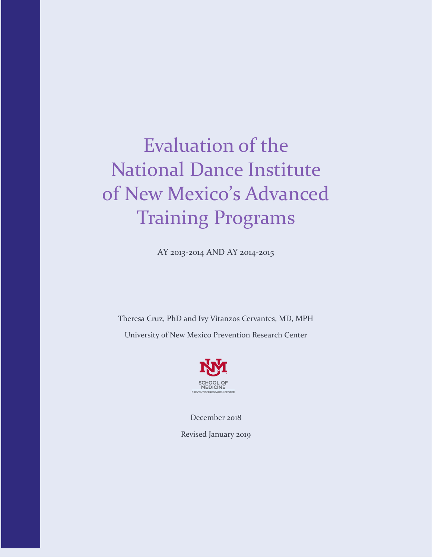# Evaluation of the National Dance Institute of New Mexico's Advanced Training Programs

AY 2013-2014 AND AY 2014-2015

Theresa Cruz, PhD and Ivy Vitanzos Cervantes, MD, MPH University of New Mexico Prevention Research Center



December 2018 Revised January 2019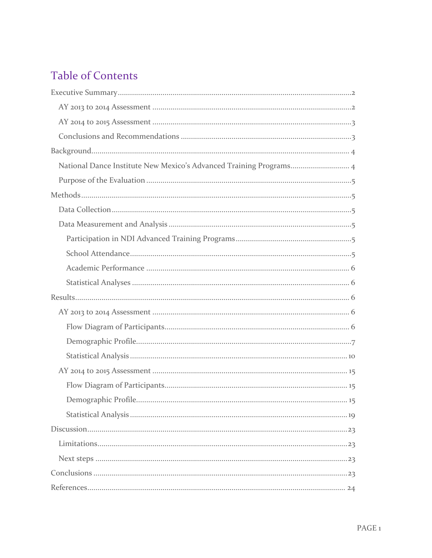# **Table of Contents**

| National Dance Institute New Mexico's Advanced Training Programs 4 |
|--------------------------------------------------------------------|
|                                                                    |
|                                                                    |
|                                                                    |
|                                                                    |
|                                                                    |
|                                                                    |
|                                                                    |
|                                                                    |
|                                                                    |
|                                                                    |
|                                                                    |
|                                                                    |
|                                                                    |
|                                                                    |
|                                                                    |
|                                                                    |
|                                                                    |
|                                                                    |
|                                                                    |
|                                                                    |
|                                                                    |
|                                                                    |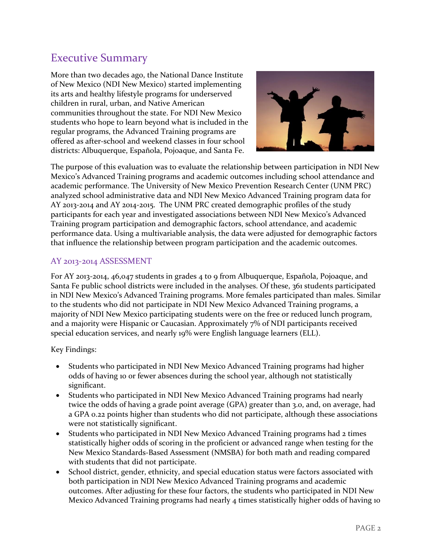# <span id="page-2-0"></span>Executive Summary

More than two decades ago, the National Dance Institute of New Mexico (NDI New Mexico) started implementing its arts and healthy lifestyle programs for underserved children in rural, urban, and Native American communities throughout the state. For NDI New Mexico students who hope to learn beyond what is included in the regular programs, the Advanced Training programs are offered as after-school and weekend classes in four school districts: Albuquerque, Española, Pojoaque, and Santa Fe.



The purpose of this evaluation was to evaluate the relationship between participation in NDI New Mexico's Advanced Training programs and academic outcomes including school attendance and academic performance. The University of New Mexico Prevention Research Center (UNM PRC) analyzed school administrative data and NDI New Mexico Advanced Training program data for AY 2013-2014 and AY 2014-2015. The UNM PRC created demographic profiles of the study participants for each year and investigated associations between NDI New Mexico's Advanced Training program participation and demographic factors, school attendance, and academic performance data. Using a multivariable analysis, the data were adjusted for demographic factors that influence the relationship between program participation and the academic outcomes.

# <span id="page-2-1"></span>AY 2013-2014 ASSESSMENT

For AY 2013-2014, 46,047 students in grades 4 to 9 from Albuquerque, Española, Pojoaque, and Santa Fe public school districts were included in the analyses. Of these, 361 students participated in NDI New Mexico's Advanced Training programs. More females participated than males. Similar to the students who did not participate in NDI New Mexico Advanced Training programs, a majority of NDI New Mexico participating students were on the free or reduced lunch program, and a majority were Hispanic or Caucasian. Approximately 7% of NDI participants received special education services, and nearly 19% were English language learners (ELL).

Key Findings:

- Students who participated in NDI New Mexico Advanced Training programs had higher odds of having 10 or fewer absences during the school year, although not statistically significant.
- Students who participated in NDI New Mexico Advanced Training programs had nearly twice the odds of having a grade point average (GPA) greater than 3.0, and, on average, had a GPA 0.22 points higher than students who did not participate, although these associations were not statistically significant.
- Students who participated in NDI New Mexico Advanced Training programs had 2 times statistically higher odds of scoring in the proficient or advanced range when testing for the New Mexico Standards-Based Assessment (NMSBA) for both math and reading compared with students that did not participate.
- School district, gender, ethnicity, and special education status were factors associated with both participation in NDI New Mexico Advanced Training programs and academic outcomes. After adjusting for these four factors, the students who participated in NDI New Mexico Advanced Training programs had nearly 4 times statistically higher odds of having 10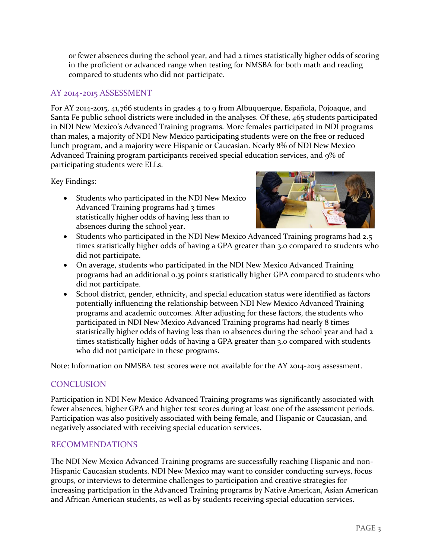or fewer absences during the school year, and had 2 times statistically higher odds of scoring in the proficient or advanced range when testing for NMSBA for both math and reading compared to students who did not participate.

# <span id="page-3-0"></span>AY 2014-2015 ASSESSMENT

For AY 2014-2015, 41,766 students in grades 4 to 9 from Albuquerque, Española, Pojoaque, and Santa Fe public school districts were included in the analyses. Of these, 465 students participated in NDI New Mexico's Advanced Training programs. More females participated in NDI programs than males, a majority of NDI New Mexico participating students were on the free or reduced lunch program, and a majority were Hispanic or Caucasian. Nearly 8% of NDI New Mexico Advanced Training program participants received special education services, and 9% of participating students were ELLs.

Key Findings:

 Students who participated in the NDI New Mexico Advanced Training programs had 3 times statistically higher odds of having less than 10 absences during the school year.



- Students who participated in the NDI New Mexico Advanced Training programs had 2.5 times statistically higher odds of having a GPA greater than 3.0 compared to students who did not participate.
- On average, students who participated in the NDI New Mexico Advanced Training programs had an additional 0.35 points statistically higher GPA compared to students who did not participate.
- School district, gender, ethnicity, and special education status were identified as factors potentially influencing the relationship between NDI New Mexico Advanced Training programs and academic outcomes. After adjusting for these factors, the students who participated in NDI New Mexico Advanced Training programs had nearly 8 times statistically higher odds of having less than 10 absences during the school year and had 2 times statistically higher odds of having a GPA greater than 3.0 compared with students who did not participate in these programs.

Note: Information on NMSBA test scores were not available for the AY 2014-2015 assessment.

# <span id="page-3-1"></span>**CONCLUSION**

Participation in NDI New Mexico Advanced Training programs was significantly associated with fewer absences, higher GPA and higher test scores during at least one of the assessment periods. Participation was also positively associated with being female, and Hispanic or Caucasian, and negatively associated with receiving special education services.

#### RECOMMENDATIONS

The NDI New Mexico Advanced Training programs are successfully reaching Hispanic and non-Hispanic Caucasian students. NDI New Mexico may want to consider conducting surveys, focus groups, or interviews to determine challenges to participation and creative strategies for increasing participation in the Advanced Training programs by Native American, Asian American and African American students, as well as by students receiving special education services.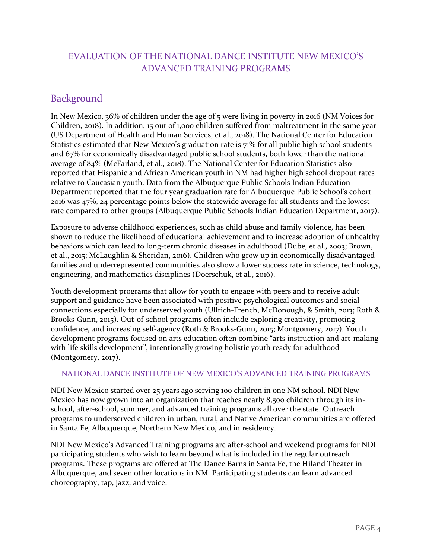# EVALUATION OF THE NATIONAL DANCE INSTITUTE NEW MEXICO'S ADVANCED TRAINING PROGRAMS

# <span id="page-4-0"></span>Background

In New Mexico, 36% of children under the age of 5 were living in poverty in 2016 (NM Voices for Children, 2018). In addition, 15 out of 1,000 children suffered from maltreatment in the same year (US Department of Health and Human Services, et al., 2018). The National Center for Education Statistics estimated that New Mexico's graduation rate is 71% for all public high school students and 67% for economically disadvantaged public school students, both lower than the national average of 84% (McFarland, et al., 2018). The National Center for Education Statistics also reported that Hispanic and African American youth in NM had higher high school dropout rates relative to Caucasian youth. Data from the Albuquerque Public Schools Indian Education Department reported that the four year graduation rate for Albuquerque Public School's cohort 2016 was 47%, 24 percentage points below the statewide average for all students and the lowest rate compared to other groups (Albuquerque Public Schools Indian Education Department, 2017).

Exposure to adverse childhood experiences, such as child abuse and family violence, has been shown to reduce the likelihood of educational achievement and to increase adoption of unhealthy behaviors which can lead to long-term chronic diseases in adulthood (Dube, et al., 2003; Brown, et al., 2015; McLaughlin & Sheridan, 2016). Children who grow up in economically disadvantaged families and underrepresented communities also show a lower success rate in science, technology, engineering, and mathematics disciplines (Doerschuk, et al., 2016).

Youth development programs that allow for youth to engage with peers and to receive adult support and guidance have been associated with positive psychological outcomes and social connections especially for underserved youth (Ullrich-French, McDonough, & Smith, 2013; Roth & Brooks-Gunn, 2015). Out-of-school programs often include exploring creativity, promoting confidence, and increasing self-agency (Roth & Brooks-Gunn, 2015; Montgomery, 2017). Youth development programs focused on arts education often combine "arts instruction and art-making with life skills development", intentionally growing holistic youth ready for adulthood (Montgomery, 2017).

#### <span id="page-4-1"></span>NATIONAL DANCE INSTITUTE OF NEW MEXICO'S ADVANCED TRAINING PROGRAMS

NDI New Mexico started over 25 years ago serving 100 children in one NM school. NDI New Mexico has now grown into an organization that reaches nearly 8,500 children through its inschool, after-school, summer, and advanced training programs all over the state. Outreach programs to underserved children in urban, rural, and Native American communities are offered in Santa Fe, Albuquerque, Northern New Mexico, and in residency.

NDI New Mexico's Advanced Training programs are after-school and weekend programs for NDI participating students who wish to learn beyond what is included in the regular outreach programs. These programs are offered at The Dance Barns in Santa Fe, the Hiland Theater in Albuquerque, and seven other locations in NM. Participating students can learn advanced choreography, tap, jazz, and voice.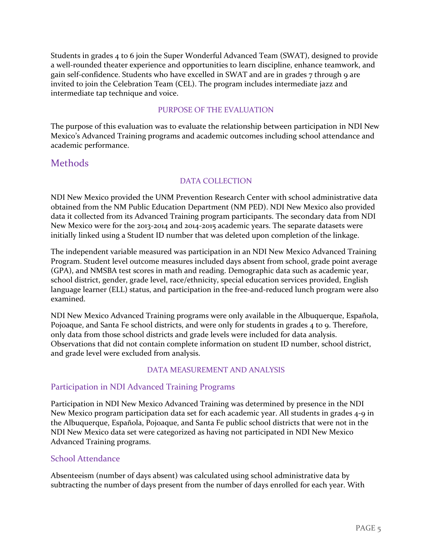Students in grades 4 to 6 join the Super Wonderful Advanced Team (SWAT), designed to provide a well-rounded theater experience and opportunities to learn discipline, enhance teamwork, and gain self-confidence. Students who have excelled in SWAT and are in grades 7 through 9 are invited to join the Celebration Team (CEL). The program includes intermediate jazz and intermediate tap technique and voice.

#### PURPOSE OF THE EVALUATION

<span id="page-5-0"></span>The purpose of this evaluation was to evaluate the relationship between participation in NDI New Mexico's Advanced Training programs and academic outcomes including school attendance and academic performance.

# <span id="page-5-1"></span>Methods

#### DATA COLLECTION

<span id="page-5-2"></span>NDI New Mexico provided the UNM Prevention Research Center with school administrative data obtained from the NM Public Education Department (NM PED). NDI New Mexico also provided data it collected from its Advanced Training program participants. The secondary data from NDI New Mexico were for the 2013-2014 and 2014-2015 academic years. The separate datasets were initially linked using a Student ID number that was deleted upon completion of the linkage.

The independent variable measured was participation in an NDI New Mexico Advanced Training Program. Student level outcome measures included days absent from school, grade point average (GPA), and NMSBA test scores in math and reading. Demographic data such as academic year, school district, gender, grade level, race/ethnicity, special education services provided, English language learner (ELL) status, and participation in the free-and-reduced lunch program were also examined.

NDI New Mexico Advanced Training programs were only available in the Albuquerque, Española, Pojoaque, and Santa Fe school districts, and were only for students in grades 4 to 9. Therefore, only data from those school districts and grade levels were included for data analysis. Observations that did not contain complete information on student ID number, school district, and grade level were excluded from analysis.

#### DATA MEASUREMENT AND ANALYSIS

# <span id="page-5-4"></span><span id="page-5-3"></span>Participation in NDI Advanced Training Programs

Participation in NDI New Mexico Advanced Training was determined by presence in the NDI New Mexico program participation data set for each academic year. All students in grades 4-9 in the Albuquerque, Española, Pojoaque, and Santa Fe public school districts that were not in the NDI New Mexico data set were categorized as having not participated in NDI New Mexico Advanced Training programs.

#### <span id="page-5-5"></span>School Attendance

Absenteeism (number of days absent) was calculated using school administrative data by subtracting the number of days present from the number of days enrolled for each year. With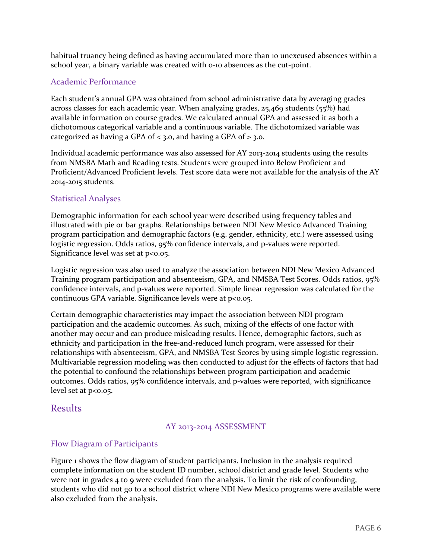habitual truancy being defined as having accumulated more than 10 unexcused absences within a school year, a binary variable was created with 0-10 absences as the cut-point.

# <span id="page-6-0"></span>Academic Performance

Each student's annual GPA was obtained from school administrative data by averaging grades across classes for each academic year. When analyzing grades, 25,469 students (55%) had available information on course grades. We calculated annual GPA and assessed it as both a dichotomous categorical variable and a continuous variable. The dichotomized variable was categorized as having a GPA of  $\leq$  3.0, and having a GPA of  $>$  3.0.

Individual academic performance was also assessed for AY 2013-2014 students using the results from NMSBA Math and Reading tests. Students were grouped into Below Proficient and Proficient/Advanced Proficient levels. Test score data were not available for the analysis of the AY 2014-2015 students.

# <span id="page-6-1"></span>Statistical Analyses

Demographic information for each school year were described using frequency tables and illustrated with pie or bar graphs. Relationships between NDI New Mexico Advanced Training program participation and demographic factors (e.g. gender, ethnicity, etc.) were assessed using logistic regression. Odds ratios, 95% confidence intervals, and p-values were reported. Significance level was set at  $p<0.05$ .

Logistic regression was also used to analyze the association between NDI New Mexico Advanced Training program participation and absenteeism, GPA, and NMSBA Test Scores. Odds ratios, 95% confidence intervals, and p-values were reported. Simple linear regression was calculated for the continuous GPA variable. Significance levels were at p<0.05.

Certain demographic characteristics may impact the association between NDI program participation and the academic outcomes. As such, mixing of the effects of one factor with another may occur and can produce misleading results. Hence, demographic factors, such as ethnicity and participation in the free-and-reduced lunch program, were assessed for their relationships with absenteeism, GPA, and NMSBA Test Scores by using simple logistic regression. Multivariable regression modeling was then conducted to adjust for the effects of factors that had the potential to confound the relationships between program participation and academic outcomes. Odds ratios, 95% confidence intervals, and p-values were reported, with significance level set at p<0.05.

# <span id="page-6-3"></span><span id="page-6-2"></span>Results

# AY 2013-2014 ASSESSMENT

# <span id="page-6-4"></span>Flow Diagram of Participants

Figure 1 shows the flow diagram of student participants. Inclusion in the analysis required complete information on the student ID number, school district and grade level. Students who were not in grades 4 to 9 were excluded from the analysis. To limit the risk of confounding, students who did not go to a school district where NDI New Mexico programs were available were also excluded from the analysis.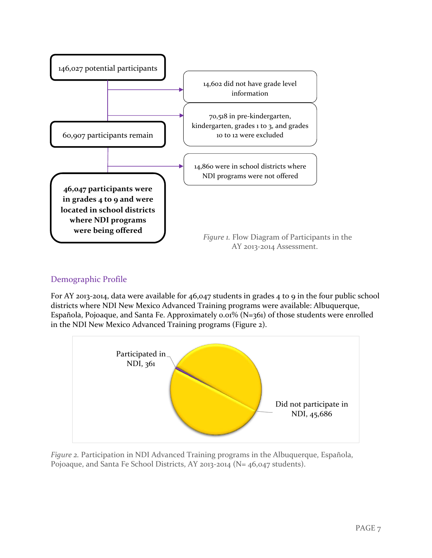

# <span id="page-7-0"></span>Demographic Profile

For AY 2013-2014, data were available for 46,047 students in grades 4 to 9 in the four public school districts where NDI New Mexico Advanced Training programs were available: Albuquerque, Española, Pojoaque, and Santa Fe. Approximately 0.01% (N=361) of those students were enrolled in the NDI New Mexico Advanced Training programs (Figure 2).



*Figure 2.* Participation in NDI Advanced Training programs in the Albuquerque, Española, Pojoaque, and Santa Fe School Districts, AY 2013-2014 (N= 46,047 students).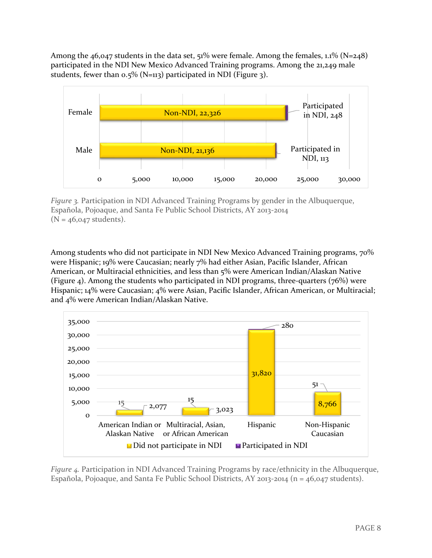Among the  $46,047$  students in the data set,  $51\%$  were female. Among the females,  $1.1\%$  (N=248) participated in the NDI New Mexico Advanced Training programs. Among the 21,249 male students, fewer than 0.5% (N=113) participated in NDI (Figure 3).



*Figure 3.* Participation in NDI Advanced Training Programs by gender in the Albuquerque, Española, Pojoaque, and Santa Fe Public School Districts, AY 2013-2014  $(N = 46,047$  students).

Among students who did not participate in NDI New Mexico Advanced Training programs, 70% were Hispanic; 19% were Caucasian; nearly 7% had either Asian, Pacific Islander, African American, or Multiracial ethnicities, and less than 5% were American Indian/Alaskan Native (Figure 4). Among the students who participated in NDI programs, three-quarters (76%) were Hispanic; 14% were Caucasian; 4% were Asian, Pacific Islander, African American, or Multiracial; and 4% were American Indian/Alaskan Native.



*Figure 4.* Participation in NDI Advanced Training Programs by race/ethnicity in the Albuquerque, Española, Pojoaque, and Santa Fe Public School Districts, AY 2013-2014 (n = 46,047 students).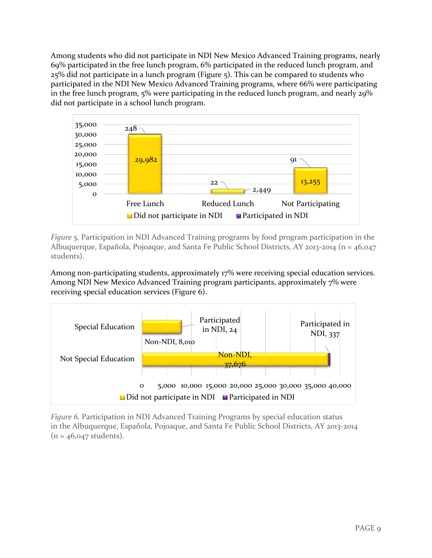Among students who did not participate in NDI New Mexico Advanced Training programs, nearly 69% participated in the free lunch program, 6% participated in the reduced lunch program, and 25% did not participate in a lunch program (Figure 5). This can be compared to students who participated in the NDI New Mexico Advanced Training programs, where 66% were participating in the free lunch program, 5% were participating in the reduced lunch program, and nearly 29% did not participate in a school lunch program.



*Figure 5.* Participation in NDI Advanced Training programs by food program participation in the Albuquerque, Española, Pojoaque, and Santa Fe Public School Districts, AY 2013-2014 (n = 46,047 students).

Among non-participating students, approximately 17% were receiving special education services. Among NDI New Mexico Advanced Training program participants, approximately 7% were receiving special education services (Figure 6).



*Figure 6.* Participation in NDI Advanced Training Programs by special education status in the Albuquerque, Española, Pojoaque, and Santa Fe Public School Districts, AY 2013-2014  $(n = 46,047$  students).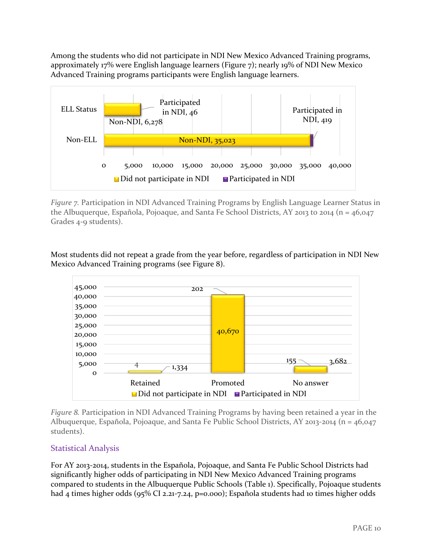Among the students who did not participate in NDI New Mexico Advanced Training programs, approximately 17% were English language learners (Figure 7); nearly 19% of NDI New Mexico Advanced Training programs participants were English language learners.



*Figure 7.* Participation in NDI Advanced Training Programs by English Language Learner Status in the Albuquerque, Española, Pojoaque, and Santa Fe School Districts, AY 2013 to 2014 (n =  $46,047$ ) Grades 4-9 students).

Most students did not repeat a grade from the year before, regardless of participation in NDI New Mexico Advanced Training programs (see Figure 8).



*Figure 8.* Participation in NDI Advanced Training Programs by having been retained a year in the Albuquerque, Española, Pojoaque, and Santa Fe Public School Districts, AY 2013-2014 (n = 46,047 students).

# <span id="page-10-0"></span>Statistical Analysis

For AY 2013-2014, students in the Española, Pojoaque, and Santa Fe Public School Districts had significantly higher odds of participating in NDI New Mexico Advanced Training programs compared to students in the Albuquerque Public Schools (Table 1). Specifically, Pojoaque students had 4 times higher odds (95% CI 2.21-7.24, p=0.000); Española students had 10 times higher odds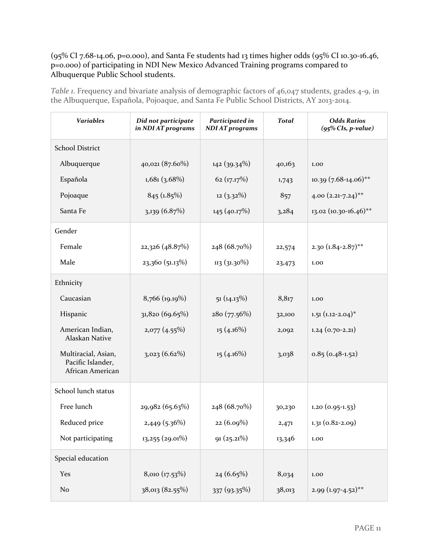# (95% CI 7.68-14.06, p=0.000), and Santa Fe students had 13 times higher odds (95% CI 10.30-16.46, p=0.000) of participating in NDI New Mexico Advanced Training programs compared to Albuquerque Public School students.

*Table 1*. Frequency and bivariate analysis of demographic factors of 46,047 students, grades 4-9, in the Albuquerque, Española, Pojoaque, and Santa Fe Public School Districts, AY 2013-2014.

| <b>Variables</b>                                             | Did not participate<br>in NDI AT programs | Participated in<br><b>NDI AT programs</b> | <b>Total</b> | <b>Odds Ratios</b><br>$(95\%$ CIs, p-value) |
|--------------------------------------------------------------|-------------------------------------------|-------------------------------------------|--------------|---------------------------------------------|
| <b>School District</b>                                       |                                           |                                           |              |                                             |
| Albuquerque                                                  | 40,021 (87.60%)                           | 142 (39.34%)                              | 40,163       | 1.00                                        |
| Española                                                     | $1,681$ (3.68%)                           | 62 (17.17%)                               | 1,743        | $10.39$ (7.68-14.06)**                      |
| Pojoaque                                                     | 845 (1.85%)                               | $12(3.32\%)$                              | 857          | $4.00 (2.21 - 7.24)$ **                     |
| Santa Fe                                                     | $3,139$ (6.87%)                           | 145(40.17%)                               | 3,284        | 13.02 (10.30-16.46)**                       |
| Gender                                                       |                                           |                                           |              |                                             |
| Female                                                       | 22,326 (48.87%)                           | 248 (68.70%)                              | 22,574       | 2.30 $(1.84 - 2.87)$ **                     |
| Male                                                         | 23,360 (51.13%)                           | $113(31.30\%)$                            | 23,473       | 1.00                                        |
| Ethnicity                                                    |                                           |                                           |              |                                             |
| Caucasian                                                    | 8,766 (19.19%)                            | 51(14.13%)                                | 8,817        | 1.00                                        |
| Hispanic                                                     | 31,820 (69.65%)                           | 280 (77.56%)                              | 32,100       | $1.51 (1.12 - 2.04)^*$                      |
| American Indian,<br>Alaskan Native                           | 2,077(4.55%)                              | $15(4.16\%)$                              | 2,092        | $1.24(0.70-2.21)$                           |
| Multiracial, Asian,<br>Pacific Islander,<br>African American | 3,023(6.62%)                              | $15(4.16\%)$                              | 3,038        | $0.85(0.48-1.52)$                           |
| School lunch status                                          |                                           |                                           |              |                                             |
| Free lunch                                                   | 29,982 (65.63%)                           | 248 (68.70%)                              | 30,230       | $1.20(0.95-1.53)$                           |
| Reduced price                                                | 2,449 (5.36%)                             | 22 (6.09%)                                | 2,471        | $1.31(0.82 - 2.09)$                         |
| Not participating                                            | $13,255$ (29.01%)                         | 91(25.21%)                                | 13,346       | 1.00                                        |
| Special education                                            |                                           |                                           |              |                                             |
| Yes                                                          | 8,010 (17.53%)                            | $24(6.65\%)$                              | 8,034        | 1.00                                        |
| No                                                           | 38,013 (82.55%)                           | 337 (93.35%)                              | 38,013       | $2.99(1.97-4.52)$ **                        |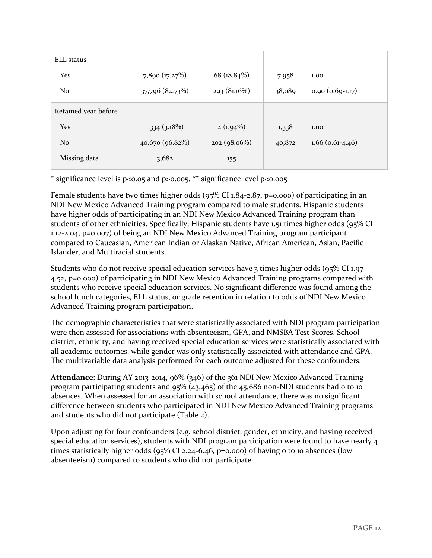| <b>ELL</b> status    |                 |                |        |                    |
|----------------------|-----------------|----------------|--------|--------------------|
| Yes                  | 7,890 (17.27%)  | 68 $(18.84\%)$ | 7,958  | 1.00               |
| N <sub>o</sub>       | 37,796 (82.73%) | 293(81.16%)    | 38,089 | $0.90(0.69-1.17)$  |
| Retained year before |                 |                |        |                    |
| Yes                  | $1,334$ (3.18%) | $4(1.94\%)$    | 1,338  | 1.00               |
| No                   | 40,670 (96.82%) | 202(98.06%)    | 40,872 | $1.66$ (0.61-4.46) |
| Missing data         | 3,682           | 155            |        |                    |

\* significance level is  $p \le 0.05$  and  $p > 0.005$ , \*\* significance level  $p \le 0.005$ 

Female students have two times higher odds (95% CI 1.84-2.87, p=0.000) of participating in an NDI New Mexico Advanced Training program compared to male students. Hispanic students have higher odds of participating in an NDI New Mexico Advanced Training program than students of other ethnicities. Specifically, Hispanic students have 1.51 times higher odds (95% CI 1.12-2.04, p=0.007) of being an NDI New Mexico Advanced Training program participant compared to Caucasian, American Indian or Alaskan Native, African American, Asian, Pacific Islander, and Multiracial students.

Students who do not receive special education services have 3 times higher odds (95% CI 1.97- 4.52, p=0.000) of participating in NDI New Mexico Advanced Training programs compared with students who receive special education services. No significant difference was found among the school lunch categories, ELL status, or grade retention in relation to odds of NDI New Mexico Advanced Training program participation.

The demographic characteristics that were statistically associated with NDI program participation were then assessed for associations with absenteeism, GPA, and NMSBA Test Scores. School district, ethnicity, and having received special education services were statistically associated with all academic outcomes, while gender was only statistically associated with attendance and GPA. The multivariable data analysis performed for each outcome adjusted for these confounders.

**Attendance**: During AY 2013-2014, 96% (346) of the 361 NDI New Mexico Advanced Training program participating students and 95% (43,465) of the 45,686 non-NDI students had 0 to 10 absences. When assessed for an association with school attendance, there was no significant difference between students who participated in NDI New Mexico Advanced Training programs and students who did not participate (Table 2).

Upon adjusting for four confounders (e.g. school district, gender, ethnicity, and having received special education services), students with NDI program participation were found to have nearly 4 times statistically higher odds (95% CI 2.24-6.46, p=0.000) of having 0 to 10 absences (low absenteeism) compared to students who did not participate.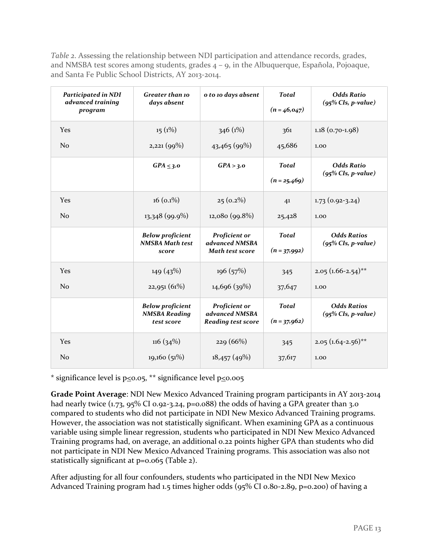*Table 2*. Assessing the relationship between NDI participation and attendance records, grades, and NMSBA test scores among students, grades 4 – 9, in the Albuquerque, Española, Pojoaque, and Santa Fe Public School Districts, AY 2013-2014.

| <b>Participated in NDI</b><br>advanced training<br>program | <b>Greater than 10</b><br>days absent                         | o to 10 days absent                                          | <b>Total</b><br>$(n=46, 047)$  | <b>Odds Ratio</b><br>$(95\%$ CIs, p-value)  |
|------------------------------------------------------------|---------------------------------------------------------------|--------------------------------------------------------------|--------------------------------|---------------------------------------------|
| Yes                                                        | $15(1\%)$                                                     | 346 (1%)                                                     | 361                            | $1.18$ (0.70-1.98)                          |
| N <sub>0</sub>                                             | 2,221(99%)                                                    | 43,465(99%)                                                  | 45,686                         | 1.00                                        |
|                                                            | $GPA \leq 3.0$                                                | GPA > 3.0                                                    | <b>Total</b><br>$(n = 25,469)$ | <b>Odds Ratio</b><br>$(95\%$ CIs, p-value)  |
| <b>Yes</b>                                                 | $16(0.1\%)$                                                   | $25(0.2\%)$                                                  | 4 <sup>1</sup>                 | $1.73(0.92-3.24)$                           |
| N <sub>o</sub>                                             | 13,348 (99.9%)                                                | 12,080 (99.8%)                                               | 25,428                         | 1.00                                        |
|                                                            | <b>Below proficient</b><br><b>NMSBA Math test</b><br>score    | Proficient or<br>advanced NMSBA<br><b>Math test score</b>    | <b>Total</b><br>$(n = 37,992)$ | <b>Odds Ratios</b><br>$(95\%$ CIs, p-value) |
| <b>Yes</b>                                                 | 149(43%)                                                      | 196(57%)                                                     | 345                            | $2.05(1.66-2.54)$ **                        |
| N <sub>o</sub>                                             | 22,951(61%)                                                   | 14,696 (39%)                                                 | 37,647                         | 1.00                                        |
|                                                            | <b>Below proficient</b><br><b>NMSBA Reading</b><br>test score | Proficient or<br>advanced NMSBA<br><b>Reading test score</b> | <b>Total</b><br>$(n = 37,962)$ | <b>Odds Ratios</b><br>$(95\%$ CIs, p-value) |
| Yes                                                        | 116(34%)                                                      | 229 (66%)                                                    | 345                            | $2.05(1.64-2.56)$ <sup>**</sup>             |
| N <sub>o</sub>                                             | 19,160(51%)                                                   | 18,457(49%)                                                  | 37,617                         | 1.00                                        |

\* significance level is  $p \le 0.05$ , \*\* significance level  $p \le 0.005$ 

**Grade Point Average**: NDI New Mexico Advanced Training program participants in AY 2013-2014 had nearly twice  $(1.73, 95\% \text{ CI } 0.92-3.24, p=0.088)$  the odds of having a GPA greater than 3.0 compared to students who did not participate in NDI New Mexico Advanced Training programs. However, the association was not statistically significant. When examining GPA as a continuous variable using simple linear regression, students who participated in NDI New Mexico Advanced Training programs had, on average, an additional 0.22 points higher GPA than students who did not participate in NDI New Mexico Advanced Training programs. This association was also not statistically significant at p=0.065 (Table 2).

After adjusting for all four confounders, students who participated in the NDI New Mexico Advanced Training program had 1.5 times higher odds (95% CI 0.80-2.89, p=0.200) of having a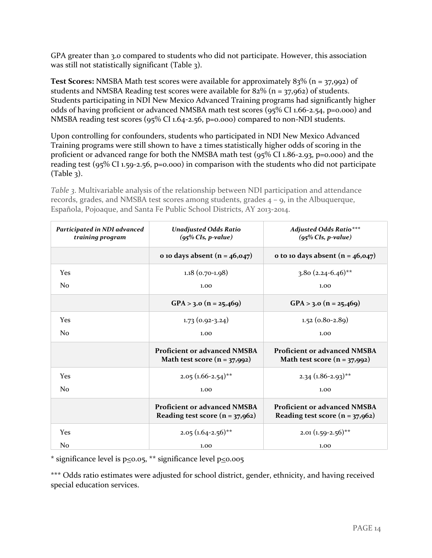GPA greater than 3.0 compared to students who did not participate. However, this association was still not statistically significant (Table 3).

**Test Scores:** NMSBA Math test scores were available for approximately 83% (n = 37,992) of students and NMSBA Reading test scores were available for  $82\%$  (n = 37,962) of students. Students participating in NDI New Mexico Advanced Training programs had significantly higher odds of having proficient or advanced NMSBA math test scores (95% CI 1.66-2.54, p=0.000) and NMSBA reading test scores (95% CI 1.64-2.56, p=0.000) compared to non-NDI students.

Upon controlling for confounders, students who participated in NDI New Mexico Advanced Training programs were still shown to have 2 times statistically higher odds of scoring in the proficient or advanced range for both the NMSBA math test (95% CI 1.86-2.93, p=0.000) and the reading test (95% CI 1.59-2.56, p=0.000) in comparison with the students who did not participate (Table 3).

*Table 3*. Multivariable analysis of the relationship between NDI participation and attendance records, grades, and NMSBA test scores among students, grades 4 – 9, in the Albuquerque, Española, Pojoaque, and Santa Fe Public School Districts, AY 2013-2014.

| Participated in NDI advanced<br>training program | <b>Unadjusted Odds Ratio</b><br>$(95\%$ CIs, p-value)                    | <b>Adjusted Odds Ratio***</b><br>$(95\%$ CIs, p-value)                   |  |
|--------------------------------------------------|--------------------------------------------------------------------------|--------------------------------------------------------------------------|--|
|                                                  | o 10 days absent $(n = 46, 047)$                                         | o to 10 days absent $(n = 46, 047)$                                      |  |
| Yes                                              | $1.18$ (0.70-1.98)                                                       | $3.80(2.24-6.46)$ **                                                     |  |
| N <sub>0</sub>                                   | 1.00                                                                     | 1.00                                                                     |  |
|                                                  | GPA > 3.0 (n = 25,469)                                                   | GPA > 3.0 ( $n = 25,469$ )                                               |  |
| Yes                                              | $1.73(0.92-3.24)$                                                        | $1.52(0.80-2.89)$                                                        |  |
| N <sub>0</sub>                                   | 1.00                                                                     | 1.00                                                                     |  |
|                                                  | <b>Proficient or advanced NMSBA</b><br>Math test score $(n = 37,992)$    | <b>Proficient or advanced NMSBA</b><br>Math test score $(n = 37,992)$    |  |
| Yes                                              | $2.05(1.66-2.54)$ **                                                     | $2.34$ (1.86-2.93) <sup>**</sup>                                         |  |
| No                                               | 1.00                                                                     | 1.00                                                                     |  |
|                                                  | <b>Proficient or advanced NMSBA</b><br>Reading test score $(n = 37,962)$ | <b>Proficient or advanced NMSBA</b><br>Reading test score $(n = 37,962)$ |  |
| Yes                                              | $2.05(1.64-2.56)$ <sup>**</sup>                                          | $2.01 (1.59 - 2.56)$ <sup>**</sup>                                       |  |
| N <sub>0</sub>                                   | 1.00                                                                     | 1.00                                                                     |  |

\* significance level is  $p \le 0.05$ , \*\* significance level  $p \le 0.005$ 

\*\*\* Odds ratio estimates were adjusted for school district, gender, ethnicity, and having received special education services.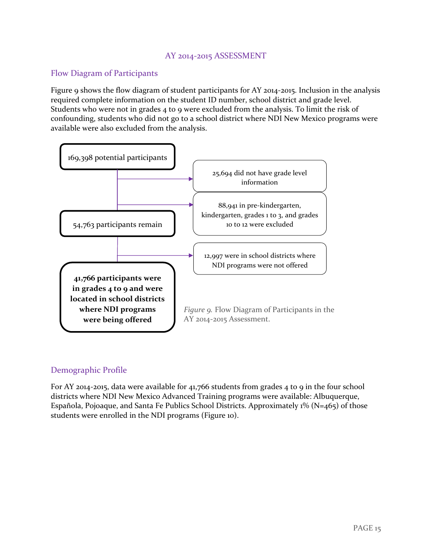# AY 2014-2015 ASSESSMENT

#### <span id="page-15-1"></span><span id="page-15-0"></span>Flow Diagram of Participants

Figure 9 shows the flow diagram of student participants for AY 2014-2015. Inclusion in the analysis required complete information on the student ID number, school district and grade level. Students who were not in grades 4 to 9 were excluded from the analysis. To limit the risk of confounding, students who did not go to a school district where NDI New Mexico programs were available were also excluded from the analysis.



#### <span id="page-15-2"></span>Demographic Profile

For AY 2014-2015, data were available for 41,766 students from grades 4 to 9 in the four school districts where NDI New Mexico Advanced Training programs were available: Albuquerque, Española, Pojoaque, and Santa Fe Publics School Districts. Approximately 1% (N=465) of those students were enrolled in the NDI programs (Figure 10).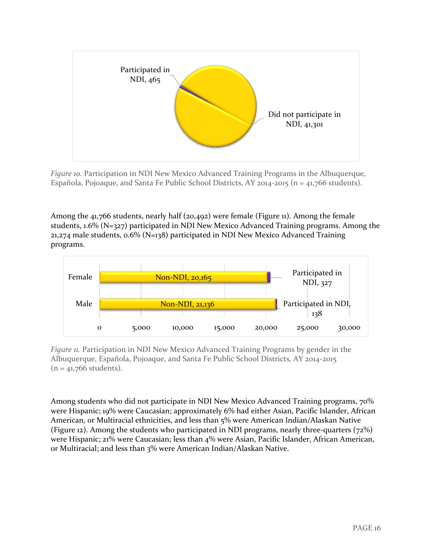

*Figure 10.* Participation in NDI New Mexico Advanced Training Programs in the Albuquerque, Española, Pojoaque, and Santa Fe Public School Districts, AY 2014-2015 (n = 41,766 students).

Among the 41,766 students, nearly half (20,492) were female (Figure 11). Among the female students, 1.6% (N=327) participated in NDI New Mexico Advanced Training programs. Among the 21,274 male students, 0.6% (N=138) participated in NDI New Mexico Advanced Training programs.



*Figure 11.* Participation in NDI New Mexico Advanced Training Programs by gender in the Albuquerque, Española, Pojoaque, and Santa Fe Public School Districts, AY 2014-2015  $(n = 41,766$  students).

Among students who did not participate in NDI New Mexico Advanced Training programs, 70% were Hispanic; 19% were Caucasian; approximately 6% had either Asian, Pacific Islander, African American, or Multiracial ethnicities, and less than 5% were American Indian/Alaskan Native (Figure 12). Among the students who participated in NDI programs, nearly three-quarters (72%) were Hispanic; 21% were Caucasian; less than 4% were Asian, Pacific Islander, African American, or Multiracial; and less than 3% were American Indian/Alaskan Native.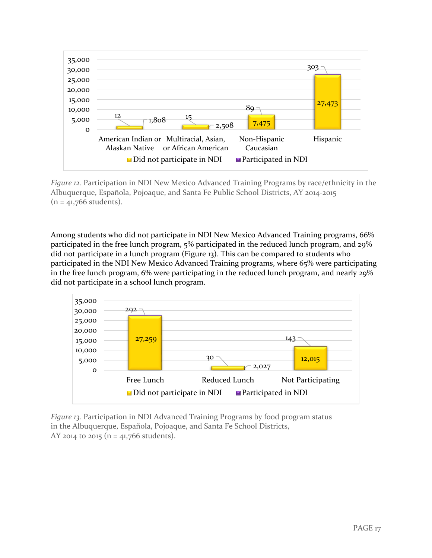

*Figure 12.* Participation in NDI New Mexico Advanced Training Programs by race/ethnicity in the Albuquerque, Española, Pojoaque, and Santa Fe Public School Districts, AY 2014-2015  $(n = 41,766$  students).

Among students who did not participate in NDI New Mexico Advanced Training programs, 66% participated in the free lunch program, 5% participated in the reduced lunch program, and 29% did not participate in a lunch program (Figure 13). This can be compared to students who participated in the NDI New Mexico Advanced Training programs, where 65% were participating in the free lunch program, 6% were participating in the reduced lunch program, and nearly 29% did not participate in a school lunch program.



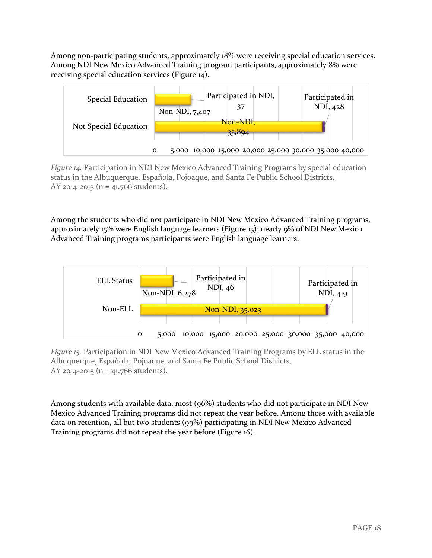Among non-participating students, approximately 18% were receiving special education services. Among NDI New Mexico Advanced Training program participants, approximately 8% were receiving special education services (Figure 14).



*Figure 14.* Participation in NDI New Mexico Advanced Training Programs by special education status in the Albuquerque, Española, Pojoaque, and Santa Fe Public School Districts, AY 2014-2015 ( $n = 41,766$  students).

Among the students who did not participate in NDI New Mexico Advanced Training programs, approximately 15% were English language learners (Figure 15); nearly 9% of NDI New Mexico Advanced Training programs participants were English language learners.



*Figure 15.* Participation in NDI New Mexico Advanced Training Programs by ELL status in the Albuquerque, Española, Pojoaque, and Santa Fe Public School Districts, AY 2014-2015 (n = 41,766 students).

Among students with available data, most (96%) students who did not participate in NDI New Mexico Advanced Training programs did not repeat the year before. Among those with available data on retention, all but two students (99%) participating in NDI New Mexico Advanced Training programs did not repeat the year before (Figure 16).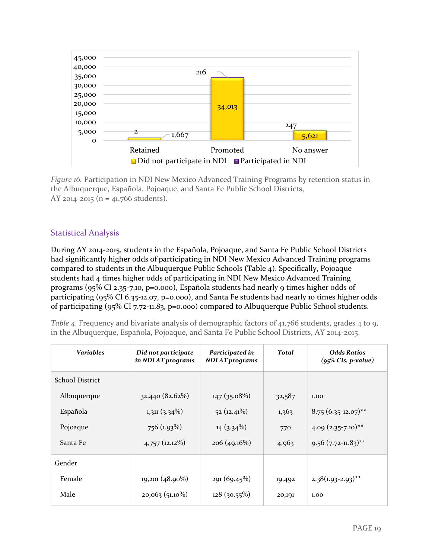

*Figure 16.* Participation in NDI New Mexico Advanced Training Programs by retention status in the Albuquerque, Española, Pojoaque, and Santa Fe Public School Districts, AY 2014-2015 ( $n = 41,766$  students).

# <span id="page-19-0"></span>Statistical Analysis

During AY 2014-2015, students in the Española, Pojoaque, and Santa Fe Public School Districts had significantly higher odds of participating in NDI New Mexico Advanced Training programs compared to students in the Albuquerque Public Schools (Table 4). Specifically, Pojoaque students had 4 times higher odds of participating in NDI New Mexico Advanced Training programs (95% CI 2.35-7.10, p=0.000), Española students had nearly 9 times higher odds of participating (95% CI 6.35-12.07, p=0.000), and Santa Fe students had nearly 10 times higher odds of participating (95% CI 7.72-11.83, p=0.000) compared to Albuquerque Public School students.

*Table 4*. Frequency and bivariate analysis of demographic factors of 41,766 students, grades 4 to 9, in the Albuquerque, Española, Pojoaque, and Santa Fe Public School Districts, AY 2014-2015.

| <b>Variables</b>       | Did not participate<br>in NDI AT programs | Participated in<br><b>NDI AT programs</b> | <b>Total</b> | <b>Odds Ratios</b><br>$(95\%$ CIs, p-value) |
|------------------------|-------------------------------------------|-------------------------------------------|--------------|---------------------------------------------|
| <b>School District</b> |                                           |                                           |              |                                             |
| Albuquerque            | 32,440 (82.62%)                           | $147(35.08\%)$                            | 32,587       | 1.00                                        |
| Española               | $1,311$ $(3.34\%)$                        | 52(12.41%)                                | 1,363        | $8.75(6.35-12.07)$ **                       |
| Pojoaque               | $756(1.93\%)$                             | $14(3.34\%)$                              | 770          | $4.09(2.35-7.10)$ **                        |
| Santa Fe               | $4,757$ (12.12%)                          | 206(49.16%)                               | 4,963        | $9.56$ (7.72-11.83) <sup>**</sup>           |
| Gender                 |                                           |                                           |              |                                             |
| Female                 | $19,201(48.90\%)$                         | 291(69.45%)                               | 19,492       | $2.38(1.93-2.93)$ **                        |
| Male                   | $20,063$ (51.10%)                         | $128(30.55\%)$                            | 20,191       | 1.00                                        |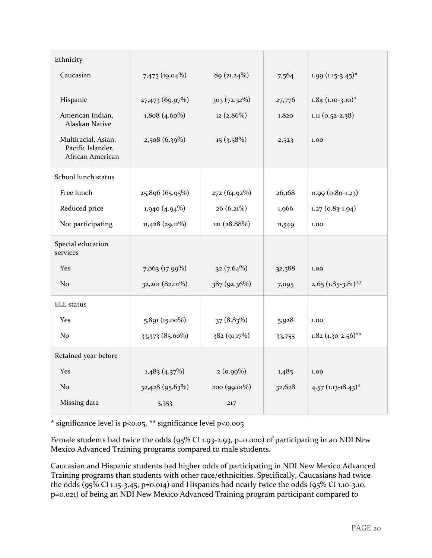| Ethnicity                                                    |                   |                |        |                                  |
|--------------------------------------------------------------|-------------------|----------------|--------|----------------------------------|
| Caucasian                                                    | 7,475 (19.04%)    | 89 (21.24%)    | 7,564  | $1.99(1.15-3.45)^{*}$            |
| Hispanic                                                     | 27,473 (69.97%)   | $303(72.32\%)$ | 27,776 | $1.84$ (1.10-3.10) <sup>*</sup>  |
| American Indian,<br>Alaskan Native                           | $1,808(4.60\%)$   | $12(2.86\%)$   | 1,820  | $1.11(0.52 - 2.38)$              |
| Multiracial, Asian,<br>Pacific Islander,<br>African American | $2,508(6.39\%)$   | 15(3.58%)      | 2,523  | 1.00                             |
| School lunch status                                          |                   |                |        |                                  |
| Free lunch                                                   | 25,896 (65.95%)   | 272 (64.92%)   | 26,168 | $0.99(0.80-1.23)$                |
| Reduced price                                                | 1,940(4.94%)      | $26(6.21\%)$   | 1,966  | $1.27(0.83-1.94)$                |
| Not participating                                            | $11,428$ (29.11%) | 121 (28.88%)   | 11,549 | 1.00                             |
| Special education<br>services                                |                   |                |        |                                  |
| <b>Yes</b>                                                   | 7,063 (17.99%)    | $32(7.64\%)$   | 32,588 | 1.00                             |
| N <sub>o</sub>                                               | 32,201 (82.01%)   | 387 (92.36%)   | 7,095  | $2.65 (1.85 - 3.81)^{**}$        |
| <b>ELL</b> status                                            |                   |                |        |                                  |
| Yes                                                          | $5,891(15.00\%)$  | 37(8.83%)      | 5,928  | 1.00                             |
| N <sub>0</sub>                                               | 33,373 (85.00%)   | 382 (91.17%)   | 33,755 | $1.82$ (1.30-2.56)**             |
| Retained year before                                         |                   |                |        |                                  |
| <b>Yes</b>                                                   | 1,483(4.37%)      | $2(0.99\%)$    | 1,485  | 1.00                             |
| No                                                           | 32,428 (95.63%)   | 200 (99.01%)   | 32,628 | $4.57$ (1.13-18.43) <sup>*</sup> |
| Missing data                                                 | 5,353             | 217            |        |                                  |

\* significance level is  $p \le 0.05$ , \*\* significance level  $p \le 0.005$ 

Female students had twice the odds (95% CI 1.93-2.93, p=0.000) of participating in an NDI New Mexico Advanced Training programs compared to male students.

Caucasian and Hispanic students had higher odds of participating in NDI New Mexico Advanced Training programs than students with other race/ethnicities. Specifically, Caucasians had twice the odds (95% CI 1.15-3.45, p=0.014) and Hispanics had nearly twice the odds (95% CI 1.10-3.10, p=0.021) of being an NDI New Mexico Advanced Training program participant compared to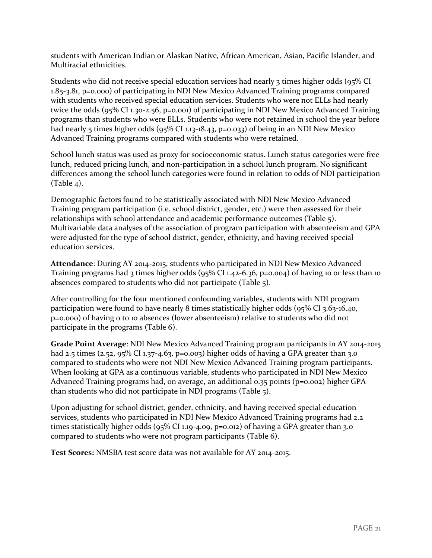students with American Indian or Alaskan Native, African American, Asian, Pacific Islander, and Multiracial ethnicities.

Students who did not receive special education services had nearly 3 times higher odds (95% CI 1.85-3.81, p=0.000) of participating in NDI New Mexico Advanced Training programs compared with students who received special education services. Students who were not ELLs had nearly twice the odds (95% CI 1.30-2.56, p=0.001) of participating in NDI New Mexico Advanced Training programs than students who were ELLs. Students who were not retained in school the year before had nearly 5 times higher odds (95% CI 1.13-18.43, p=0.033) of being in an NDI New Mexico Advanced Training programs compared with students who were retained.

School lunch status was used as proxy for socioeconomic status. Lunch status categories were free lunch, reduced pricing lunch, and non-participation in a school lunch program. No significant differences among the school lunch categories were found in relation to odds of NDI participation  $(Table 4).$ 

Demographic factors found to be statistically associated with NDI New Mexico Advanced Training program participation (i.e. school district, gender, etc.) were then assessed for their relationships with school attendance and academic performance outcomes (Table 5). Multivariable data analyses of the association of program participation with absenteeism and GPA were adjusted for the type of school district, gender, ethnicity, and having received special education services.

**Attendance**: During AY 2014-2015, students who participated in NDI New Mexico Advanced Training programs had 3 times higher odds (95% CI 1.42-6.36, p=0.004) of having 10 or less than 10 absences compared to students who did not participate (Table 5).

After controlling for the four mentioned confounding variables, students with NDI program participation were found to have nearly 8 times statistically higher odds (95% CI 3.63-16.40, p=0.000) of having 0 to 10 absences (lower absenteeism) relative to students who did not participate in the programs (Table 6).

**Grade Point Average**: NDI New Mexico Advanced Training program participants in AY 2014-2015 had 2.5 times (2.52, 95% CI 1.37-4.63, p=0.003) higher odds of having a GPA greater than 3.0 compared to students who were not NDI New Mexico Advanced Training program participants. When looking at GPA as a continuous variable, students who participated in NDI New Mexico Advanced Training programs had, on average, an additional 0.35 points ( $p=0.002$ ) higher GPA than students who did not participate in NDI programs (Table 5).

Upon adjusting for school district, gender, ethnicity, and having received special education services, students who participated in NDI New Mexico Advanced Training programs had 2.2 times statistically higher odds (95% CI 1.19-4.09, p=0.012) of having a GPA greater than 3.0 compared to students who were not program participants (Table 6).

**Test Scores:** NMSBA test score data was not available for AY 2014-2015.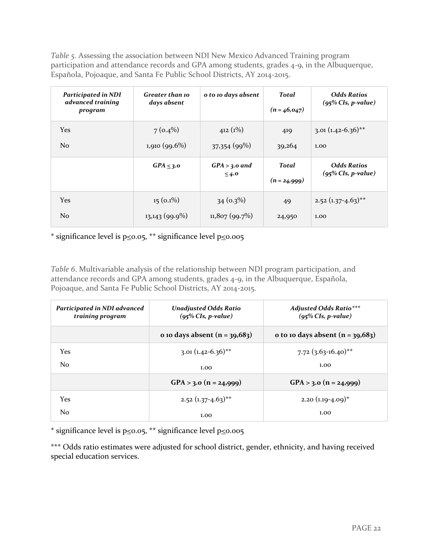*Table 5*. Assessing the association between NDI New Mexico Advanced Training program participation and attendance records and GPA among students, grades 4-9, in the Albuquerque, Española, Pojoaque, and Santa Fe Public School Districts, AY 2014-2015.

| Participated in NDI<br>advanced training<br>program | <b>Greater than 10</b><br>days absent | o to 10 days absent           | <b>Total</b><br>$(n = 46, 047)$ | <b>Odds Ratios</b><br>$(95\%$ CIs, p-value) |
|-----------------------------------------------------|---------------------------------------|-------------------------------|---------------------------------|---------------------------------------------|
| Yes                                                 | $7(0.4\%)$                            | 412 $(1\%)$                   | 419                             | $3.01 (1.42 - 6.36)$ <sup>**</sup>          |
| N <sub>o</sub>                                      | 1,910 (99.6%)                         | 37,354 (99%)                  | 39,264                          | 1.00                                        |
|                                                     | $GPA \leq 3.0$                        | $GPA > 3.0$ and<br>$\leq 4.0$ | <b>Total</b><br>$(n = 24,999)$  | <b>Odds Ratios</b><br>$(95\%$ CIs, p-value) |
| <b>Yes</b>                                          | $15(0.1\%)$                           | $34(0.3\%)$                   | 49                              | $2.52$ (1.37-4.63) <sup>**</sup>            |
| N <sub>o</sub>                                      | $13,143(99.9\%)$                      | 11,807(99.7%)                 | 24,950                          | 1.00                                        |

\* significance level is  $p \le 0.05$ , \*\* significance level  $p \le 0.005$ 

*Table 6*. Multivariable analysis of the relationship between NDI program participation, and attendance records and GPA among students, grades 4-9, in the Albuquerque, Española, Pojoaque, and Santa Fe Public School Districts, AY 2014-2015.

| Participated in NDI advanced<br>training program | <b>Unadjusted Odds Ratio</b><br>$(95\%$ CIs, p-value) | <b>Adjusted Odds Ratio</b> ***<br>$(95\%$ CIs, p-value) |
|--------------------------------------------------|-------------------------------------------------------|---------------------------------------------------------|
|                                                  | o 10 days absent $(n = 39,683)$                       | o to 10 days absent $(n = 39,683)$                      |
| <b>Yes</b>                                       | $3.01 (1.42 - 6.36)^{**}$                             | $7.72$ (3.63-16.40) <sup>**</sup>                       |
| N <sub>0</sub>                                   | 1.00                                                  | 1.00                                                    |
|                                                  | $GPA > 3.0$ (n = 24,999)                              | $GPA > 3.0$ $(n = 24,999)$                              |
| Yes                                              | $2.52$ (1.37-4.63) <sup>**</sup>                      | 2.20 $(1.19-4.09)^*$                                    |
| N <sub>0</sub>                                   | 1.00                                                  | 1.00                                                    |

\* significance level is  $p \le 0.05$ , \*\* significance level  $p \le 0.005$ 

\*\*\* Odds ratio estimates were adjusted for school district, gender, ethnicity, and having received special education services.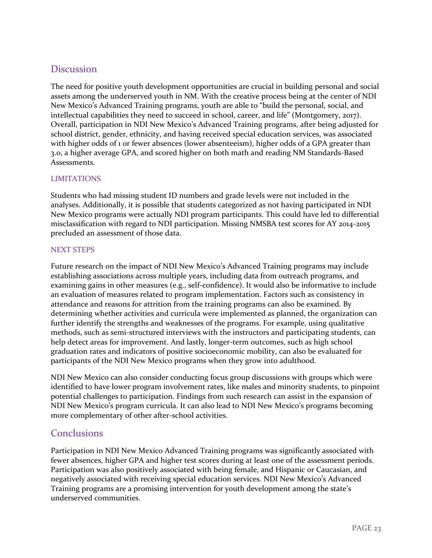# <span id="page-23-0"></span>Discussion

The need for positive youth development opportunities are crucial in building personal and social assets among the underserved youth in NM. With the creative process being at the center of NDI New Mexico's Advanced Training programs, youth are able to "build the personal, social, and intellectual capabilities they need to succeed in school, career, and life" (Montgomery, 2017). Overall, participation in NDI New Mexico's Advanced Training programs, after being adjusted for school district, gender, ethnicity, and having received special education services, was associated with higher odds of 1 or fewer absences (lower absenteeism), higher odds of a GPA greater than 3.0, a higher average GPA, and scored higher on both math and reading NM Standards-Based Assessments.

#### <span id="page-23-1"></span>LIMITATIONS

Students who had missing student ID numbers and grade levels were not included in the analyses. Additionally, it is possible that students categorized as not having participated in NDI New Mexico programs were actually NDI program participants. This could have led to differential misclassification with regard to NDI participation. Missing NMSBA test scores for AY 2014-2015 precluded an assessment of those data.

#### <span id="page-23-2"></span>NEXT STEPS

Future research on the impact of NDI New Mexico's Advanced Training programs may include establishing associations across multiple years, including data from outreach programs, and examining gains in other measures (e.g., self-confidence). It would also be informative to include an evaluation of measures related to program implementation. Factors such as consistency in attendance and reasons for attrition from the training programs can also be examined. By determining whether activities and curricula were implemented as planned, the organization can further identify the strengths and weaknesses of the programs. For example, using qualitative methods, such as semi-structured interviews with the instructors and participating students, can help detect areas for improvement. And lastly, longer-term outcomes, such as high school graduation rates and indicators of positive socioeconomic mobility, can also be evaluated for participants of the NDI New Mexico programs when they grow into adulthood.

NDI New Mexico can also consider conducting focus group discussions with groups which were identified to have lower program involvement rates, like males and minority students, to pinpoint potential challenges to participation. Findings from such research can assist in the expansion of NDI New Mexico's program curricula. It can also lead to NDI New Mexico's programs becoming more complementary of other after-school activities.

# <span id="page-23-3"></span>**Conclusions**

<span id="page-23-4"></span>Participation in NDI New Mexico Advanced Training programs was significantly associated with fewer absences, higher GPA and higher test scores during at least one of the assessment periods. Participation was also positively associated with being female, and Hispanic or Caucasian, and negatively associated with receiving special education services. NDI New Mexico's Advanced Training programs are a promising intervention for youth development among the state's underserved communities.